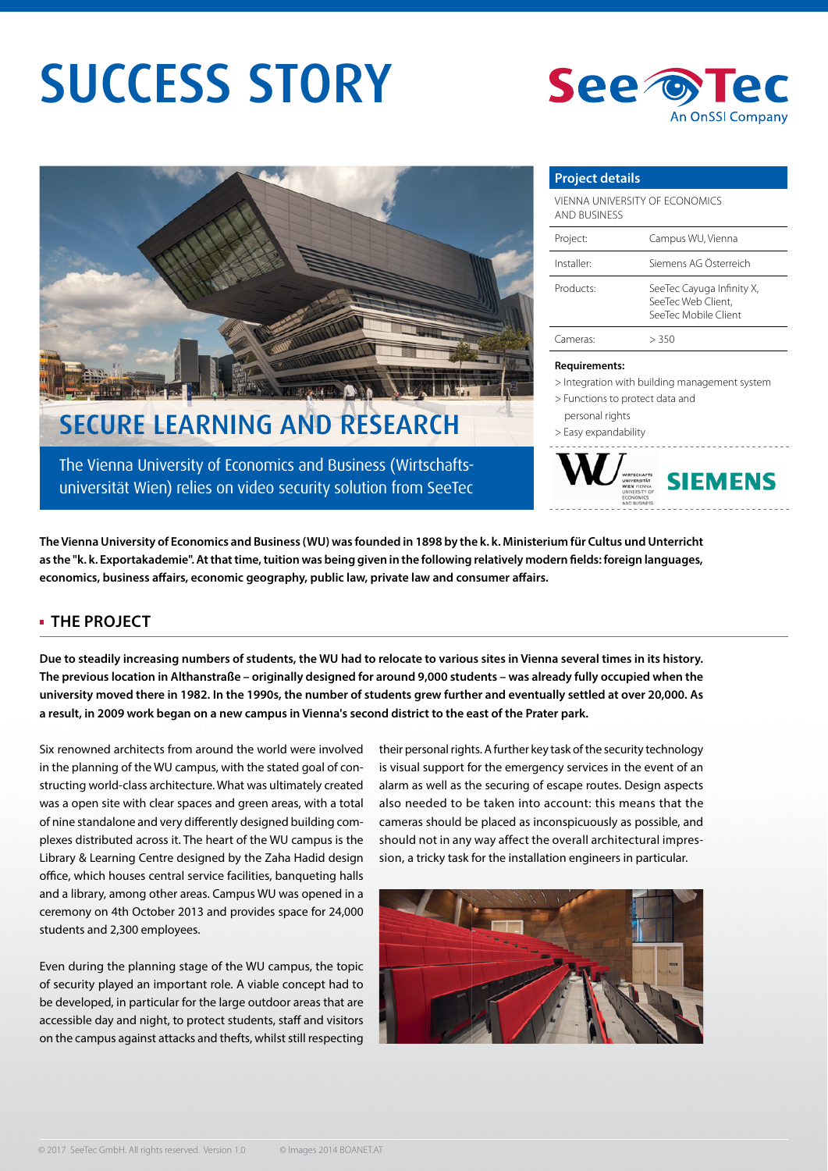# SUCCESS STORY





The Vienna University of Economics and Business (Wirtschafts-

universität Wien) relies on video security solution from SeeTec

#### **Project details**

| VIENNA UNIVERSITY OF ECONOMICS<br>AND BUSINESS |                                                                         |
|------------------------------------------------|-------------------------------------------------------------------------|
| Project:                                       | Campus WU, Vienna                                                       |
| Installer:                                     | Siemens AG Österreich                                                   |
| Products:                                      | SeeTec Cayuga Infinity X,<br>SeeTec Web Client.<br>SeeTec Mobile Client |
| Cameras <sup>.</sup>                           | > 350                                                                   |

#### **Requirements:**

> Integration with building management system

- > Functions to protect data and
- personal rights
- > Easy expandability



**The Vienna University of Economics and Business (WU) was founded in 1898 by the k. k. Ministerium für Cultus und Unterricht**  as the "k. k. Exportakademie". At that time, tuition was being given in the following relatively modern fields: foreign languages, economics, business affairs, economic geography, public law, private law and consumer affairs.

# **THE PROJECT**

**Due to steadily increasing numbers of students, the WU had to relocate to various sites in Vienna several times in its history. The previous location in Althanstraße – originally designed for around 9,000 students – was already fully occupied when the university moved there in 1982. In the 1990s, the number of students grew further and eventually settled at over 20,000. As a result, in 2009 work began on a new campus in Vienna's second district to the east of the Prater park.**

Six renowned architects from around the world were involved in the planning of the WU campus, with the stated goal of constructing world-class architecture. What was ultimately created was a open site with clear spaces and green areas, with a total of nine standalone and very differently designed building complexes distributed across it. The heart of the WU campus is the Library & Learning Centre designed by the Zaha Hadid design office, which houses central service facilities, banqueting halls and a library, among other areas. Campus WU was opened in a ceremony on 4th October 2013 and provides space for 24,000 students and 2,300 employees.

Even during the planning stage of the WU campus, the topic of security played an important role. A viable concept had to be developed, in particular for the large outdoor areas that are accessible day and night, to protect students, staff and visitors on the campus against attacks and thefts, whilst still respecting

their personal rights. A further key task of the security technology is visual support for the emergency services in the event of an alarm as well as the securing of escape routes. Design aspects also needed to be taken into account: this means that the cameras should be placed as inconspicuously as possible, and should not in any way affect the overall architectural impression, a tricky task for the installation engineers in particular.